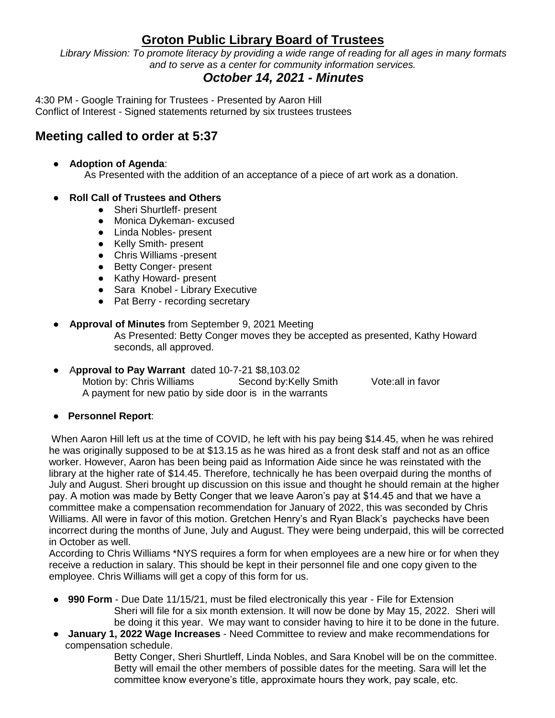# **Groton Public Library Board of Trustees**

*Library Mission: To promote literacy by providing a wide range of reading for all ages in many formats and to serve as a center for community information services.*

## *October 14, 2021 - Minutes*

4:30 PM - Google Training for Trustees - Presented by Aaron Hill Conflict of Interest - Signed statements returned by six trustees trustees

## **Meeting called to order at 5:37**

- **Adoption of Agenda**: As Presented with the addition of an acceptance of a piece of art work as a donation.
- **Roll Call of Trustees and Others**
	- Sheri Shurtleff- present
	- Monica Dykeman- excused
	- Linda Nobles- present
	- Kelly Smith- present
	- Chris Williams -present
	- Betty Conger- present
	- Kathy Howard- present
	- Sara Knobel Library Executive
	- Pat Berry recording secretary
- **Approval of Minutes** from September 9, 2021 Meeting As Presented: Betty Conger moves they be accepted as presented, Kathy Howard seconds, all approved.
- A**pproval to Pay Warrant** dated 10-7-21 \$8,103.02 Motion by: Chris Williams Second by:Kelly Smith Vote:all in favor A payment for new patio by side door is in the warrants
	-

#### ● **Personnel Report**:

When Aaron Hill left us at the time of COVID, he left with his pay being \$14.45, when he was rehired he was originally supposed to be at \$13.15 as he was hired as a front desk staff and not as an office worker. However, Aaron has been being paid as Information Aide since he was reinstated with the library at the higher rate of \$14.45. Therefore, technically he has been overpaid during the months of July and August. Sheri brought up discussion on this issue and thought he should remain at the higher pay. A motion was made by Betty Conger that we leave Aaron's pay at \$14.45 and that we have a committee make a compensation recommendation for January of 2022, this was seconded by Chris Williams. All were in favor of this motion. Gretchen Henry's and Ryan Black's paychecks have been incorrect during the months of June, July and August. They were being underpaid, this will be corrected in October as well.

According to Chris Williams \*NYS requires a form for when employees are a new hire or for when they receive a reduction in salary. This should be kept in their personnel file and one copy given to the employee. Chris Williams will get a copy of this form for us.

- **990 Form** Due Date 11/15/21, must be filed electronically this year File for Extension Sheri will file for a six month extension. It will now be done by May 15, 2022. Sheri will be doing it this year. We may want to consider having to hire it to be done in the future.
- **January 1, 2022 Wage Increases** Need Committee to review and make recommendations for compensation schedule.

Betty Conger, Sheri Shurtleff, Linda Nobles, and Sara Knobel will be on the committee. Betty will email the other members of possible dates for the meeting. Sara will let the committee know everyone's title, approximate hours they work, pay scale, etc.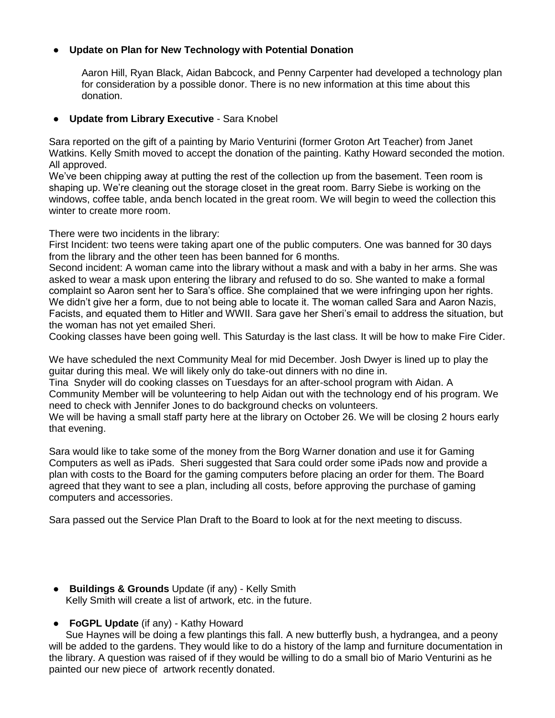### ● **Update on Plan for New Technology with Potential Donation**

Aaron Hill, Ryan Black, Aidan Babcock, and Penny Carpenter had developed a technology plan for consideration by a possible donor. There is no new information at this time about this donation.

#### ● **Update from Library Executive** - Sara Knobel

Sara reported on the gift of a painting by Mario Venturini (former Groton Art Teacher) from Janet Watkins. Kelly Smith moved to accept the donation of the painting. Kathy Howard seconded the motion. All approved.

We've been chipping away at putting the rest of the collection up from the basement. Teen room is shaping up. We're cleaning out the storage closet in the great room. Barry Siebe is working on the windows, coffee table, anda bench located in the great room. We will begin to weed the collection this winter to create more room.

There were two incidents in the library:

First Incident: two teens were taking apart one of the public computers. One was banned for 30 days from the library and the other teen has been banned for 6 months.

Second incident: A woman came into the library without a mask and with a baby in her arms. She was asked to wear a mask upon entering the library and refused to do so. She wanted to make a formal complaint so Aaron sent her to Sara's office. She complained that we were infringing upon her rights. We didn't give her a form, due to not being able to locate it. The woman called Sara and Aaron Nazis, Facists, and equated them to Hitler and WWII. Sara gave her Sheri's email to address the situation, but the woman has not yet emailed Sheri.

Cooking classes have been going well. This Saturday is the last class. It will be how to make Fire Cider.

We have scheduled the next Community Meal for mid December. Josh Dwyer is lined up to play the guitar during this meal. We will likely only do take-out dinners with no dine in.

Tina Snyder will do cooking classes on Tuesdays for an after-school program with Aidan. A Community Member will be volunteering to help Aidan out with the technology end of his program. We need to check with Jennifer Jones to do background checks on volunteers.

We will be having a small staff party here at the library on October 26. We will be closing 2 hours early that evening.

Sara would like to take some of the money from the Borg Warner donation and use it for Gaming Computers as well as iPads. Sheri suggested that Sara could order some iPads now and provide a plan with costs to the Board for the gaming computers before placing an order for them. The Board agreed that they want to see a plan, including all costs, before approving the purchase of gaming computers and accessories.

Sara passed out the Service Plan Draft to the Board to look at for the next meeting to discuss.

- **Buildings & Grounds** Update (if any) Kelly Smith Kelly Smith will create a list of artwork, etc. in the future.
- **FoGPL Update** (if any) Kathy Howard

 Sue Haynes will be doing a few plantings this fall. A new butterfly bush, a hydrangea, and a peony will be added to the gardens. They would like to do a history of the lamp and furniture documentation in the library. A question was raised of if they would be willing to do a small bio of Mario Venturini as he painted our new piece of artwork recently donated.